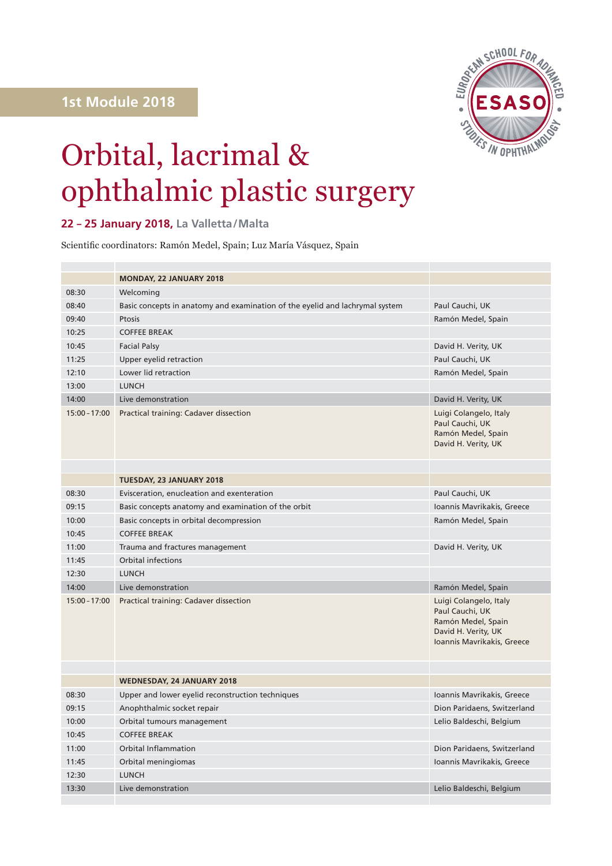

## Orbital, lacrimal & ophthalmic plastic surgery

## **22 – 25 January 2018, La Valletta/Malta**

Scientific coordinators: Ramón Medel, Spain; Luz María Vásquez, Spain

|                 | <b>MONDAY, 22 JANUARY 2018</b>                                               |                                                                                                                      |
|-----------------|------------------------------------------------------------------------------|----------------------------------------------------------------------------------------------------------------------|
| 08:30           | Welcoming                                                                    |                                                                                                                      |
| 08:40           | Basic concepts in anatomy and examination of the eyelid and lachrymal system | Paul Cauchi, UK                                                                                                      |
| 09:40           | Ptosis                                                                       | Ramón Medel, Spain                                                                                                   |
| 10:25           | <b>COFFEE BREAK</b>                                                          |                                                                                                                      |
| 10:45           | <b>Facial Palsy</b>                                                          | David H. Verity, UK                                                                                                  |
| 11:25           | Upper eyelid retraction                                                      | Paul Cauchi, UK                                                                                                      |
| 12:10           | Lower lid retraction                                                         | Ramón Medel, Spain                                                                                                   |
| 13:00           | <b>LUNCH</b>                                                                 |                                                                                                                      |
| 14:00           | Live demonstration                                                           | David H. Verity, UK                                                                                                  |
| $15:00 - 17:00$ | Practical training: Cadaver dissection                                       | Luigi Colangelo, Italy<br>Paul Cauchi, UK<br>Ramón Medel, Spain<br>David H. Verity, UK                               |
|                 |                                                                              |                                                                                                                      |
|                 | TUESDAY, 23 JANUARY 2018                                                     |                                                                                                                      |
| 08:30           | Evisceration, enucleation and exenteration                                   | Paul Cauchi, UK                                                                                                      |
| 09:15           | Basic concepts anatomy and examination of the orbit                          | Ioannis Mavrikakis, Greece                                                                                           |
| 10:00           | Basic concepts in orbital decompression                                      | Ramón Medel, Spain                                                                                                   |
| 10:45           | <b>COFFEE BREAK</b>                                                          |                                                                                                                      |
| 11:00           | Trauma and fractures management                                              | David H. Verity, UK                                                                                                  |
| 11:45           | <b>Orbital infections</b>                                                    |                                                                                                                      |
| 12:30           | <b>LUNCH</b>                                                                 |                                                                                                                      |
| 14:00           | Live demonstration                                                           | Ramón Medel, Spain                                                                                                   |
| $15:00 - 17:00$ | Practical training: Cadaver dissection                                       | Luigi Colangelo, Italy<br>Paul Cauchi, UK<br>Ramón Medel, Spain<br>David H. Verity, UK<br>Ioannis Mavrikakis, Greece |
|                 |                                                                              |                                                                                                                      |
|                 | WEDNESDAY, 24 JANUARY 2018                                                   |                                                                                                                      |
| 08:30           | Upper and lower eyelid reconstruction techniques                             | Ioannis Mavrikakis, Greece                                                                                           |
| 09:15           | Anophthalmic socket repair                                                   | Dion Paridaens, Switzerland                                                                                          |
| 10:00           | Orbital tumours management                                                   | Lelio Baldeschi, Belgium                                                                                             |
| 10:45           | <b>COFFEE BREAK</b>                                                          |                                                                                                                      |
| 11:00           | <b>Orbital Inflammation</b>                                                  | Dion Paridaens, Switzerland                                                                                          |
| 11:45           | Orbital meningiomas                                                          | Ioannis Mavrikakis, Greece                                                                                           |
| 12:30           | <b>LUNCH</b>                                                                 |                                                                                                                      |
| 13:30           | Live demonstration                                                           | Lelio Baldeschi, Belgium                                                                                             |
|                 |                                                                              |                                                                                                                      |